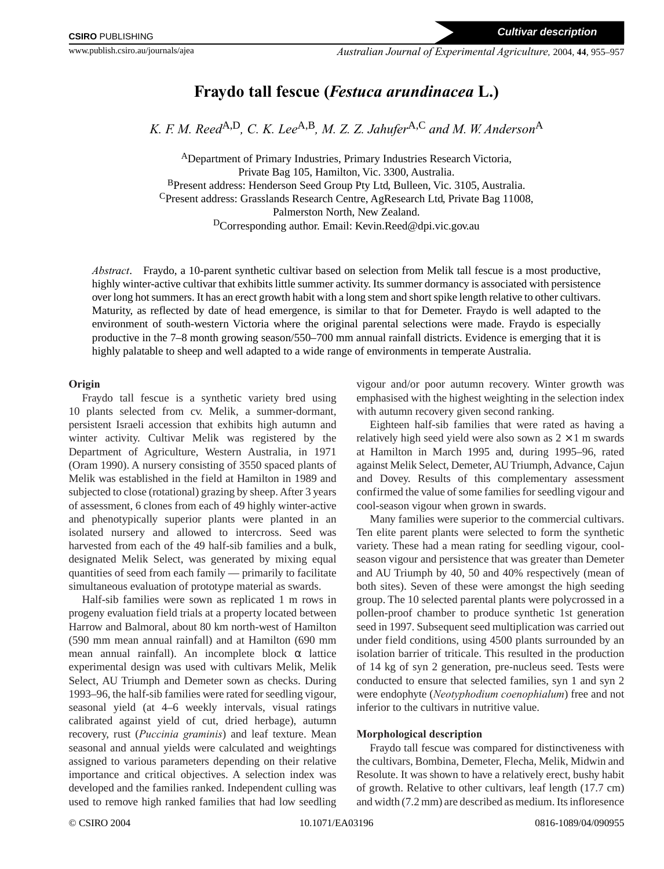# **Fraydo tall fescue (***Festuca arundinacea* **L.)**

*K. F. M. Reed*A,D*, C. K. Lee*A,B*, M. Z. Z. Jahufer*A,C *and M. W. Anderson*<sup>A</sup>

<sup>A</sup>Department of Primary Industries, Primary Industries Research Victoria, Private Bag 105, Hamilton, Vic. 3300, Australia. BPresent address: Henderson Seed Group Pty Ltd, Bulleen, Vic. 3105, Australia. CPresent address: Grasslands Research Centre, AgResearch Ltd, Private Bag 11008, Palmerston North, New Zealand. DCorresponding author. Email: Kevin.Reed@dpi.vic.gov.au

*Abstract*. Fraydo, a 10-parent synthetic cultivar based on selection from Melik tall fescue is a most productive, highly winter-active cultivar that exhibits little summer activity. Its summer dormancy is associated with persistence over long hot summers. It has an erect growth habit with a long stem and short spike length relative to other cultivars. Maturity, as reflected by date of head emergence, is similar to that for Demeter. Fraydo is well adapted to the environment of south-western Victoria where the original parental selections were made. Fraydo is especially productive in the 7–8 month growing season/550–700 mm annual rainfall districts. Evidence is emerging that it is highly palatable to sheep and well adapted to a wide range of environments in temperate Australia.

## **Origin**

Fraydo tall fescue is a synthetic variety bred using 10 plants selected from cv. Melik, a summer-dormant, persistent Israeli accession that exhibits high autumn and winter activity. Cultivar Melik was registered by the Department of Agriculture, Western Australia, in 1971 (Oram 1990). A nursery consisting of 3550 spaced plants of Melik was established in the field at Hamilton in 1989 and subjected to close (rotational) grazing by sheep. After 3 years of assessment, 6 clones from each of 49 highly winter-active and phenotypically superior plants were planted in an isolated nursery and allowed to intercross. Seed was harvested from each of the 49 half-sib families and a bulk, designated Melik Select, was generated by mixing equal quantities of seed from each family — primarily to facilitate simultaneous evaluation of prototype material as swards.

Half-sib families were sown as replicated 1 m rows in progeny evaluation field trials at a property located between Harrow and Balmoral, about 80 km north-west of Hamilton (590 mm mean annual rainfall) and at Hamilton (690 mm mean annual rainfall). An incomplete block  $\alpha$  lattice experimental design was used with cultivars Melik, Melik Select, AU Triumph and Demeter sown as checks. During 1993–96, the half-sib families were rated for seedling vigour, seasonal yield (at 4–6 weekly intervals, visual ratings calibrated against yield of cut, dried herbage), autumn recovery, rust (*Puccinia graminis*) and leaf texture. Mean seasonal and annual yields were calculated and weightings assigned to various parameters depending on their relative importance and critical objectives. A selection index was developed and the families ranked. Independent culling was used to remove high ranked families that had low seedling

vigour and/or poor autumn recovery. Winter growth was emphasised with the highest weighting in the selection index with autumn recovery given second ranking.

Eighteen half-sib families that were rated as having a relatively high seed yield were also sown as  $2 \times 1$  m swards at Hamilton in March 1995 and, during 1995–96, rated against Melik Select, Demeter, AU Triumph, Advance, Cajun and Dovey. Results of this complementary assessment confirmed the value of some families for seedling vigour and cool-season vigour when grown in swards.

Many families were superior to the commercial cultivars. Ten elite parent plants were selected to form the synthetic variety. These had a mean rating for seedling vigour, coolseason vigour and persistence that was greater than Demeter and AU Triumph by 40, 50 and 40% respectively (mean of both sites). Seven of these were amongst the high seeding group. The 10 selected parental plants were polycrossed in a pollen-proof chamber to produce synthetic 1st generation seed in 1997. Subsequent seed multiplication was carried out under field conditions, using 4500 plants surrounded by an isolation barrier of triticale. This resulted in the production of 14 kg of syn 2 generation, pre-nucleus seed. Tests were conducted to ensure that selected families, syn 1 and syn 2 were endophyte (*Neotyphodium coenophialum*) free and not inferior to the cultivars in nutritive value.

# **Morphological description**

Fraydo tall fescue was compared for distinctiveness with the cultivars, Bombina, Demeter, Flecha, Melik, Midwin and Resolute. It was shown to have a relatively erect, bushy habit of growth. Relative to other cultivars, leaf length (17.7 cm) and width (7.2 mm) are described as medium. Its infloresence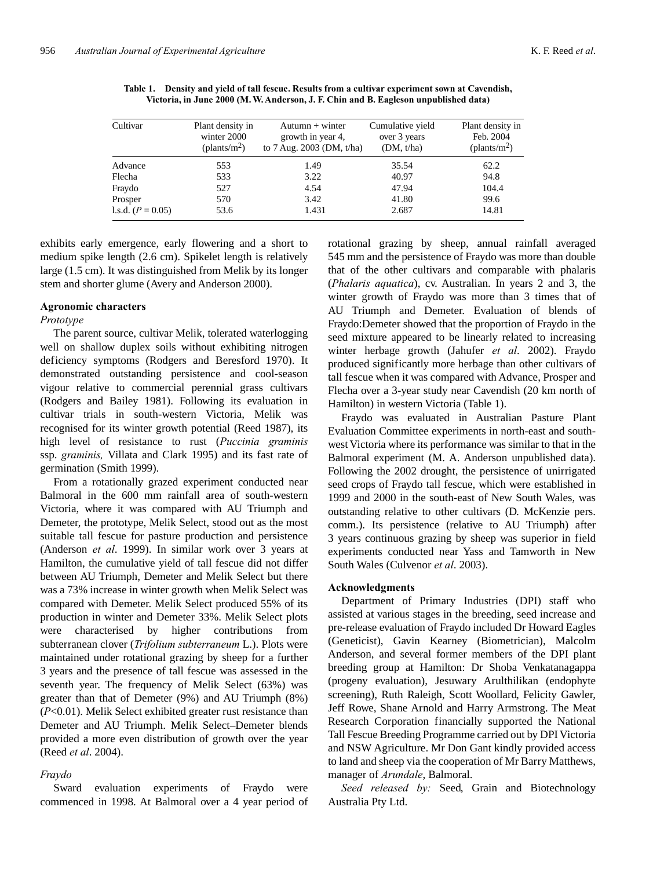| Cultivar            | Plant density in<br>winter 2000<br>$(\text{plants/m}^2)$ | $Autumn + winter$<br>growth in year 4,<br>to 7 Aug. 2003 (DM, t/ha) | Cumulative yield<br>over 3 years<br>(DM, t/ha) | Plant density in<br>Feb. 2004<br>(plants/m <sup>2</sup> ) |
|---------------------|----------------------------------------------------------|---------------------------------------------------------------------|------------------------------------------------|-----------------------------------------------------------|
| Advance             | 553                                                      | 1.49                                                                | 35.54                                          | 62.2                                                      |
| Flecha              | 533                                                      | 3.22                                                                | 40.97                                          | 94.8                                                      |
| Fraydo              | 527                                                      | 4.54                                                                | 47.94                                          | 104.4                                                     |
| Prosper             | 570                                                      | 3.42                                                                | 41.80                                          | 99.6                                                      |
| 1.s.d. $(P = 0.05)$ | 53.6                                                     | 1.431                                                               | 2.687                                          | 14.81                                                     |

**Table 1. Density and yield of tall fescue. Results from a cultivar experiment sown at Cavendish, Victoria, in June 2000 (M. W. Anderson, J. F. Chin and B. Eagleson unpublished data)**

exhibits early emergence, early flowering and a short to medium spike length (2.6 cm). Spikelet length is relatively large (1.5 cm). It was distinguished from Melik by its longer stem and shorter glume (Avery and Anderson 2000).

#### **Agronomic characters**

#### *Prototype*

The parent source, cultivar Melik, tolerated waterlogging well on shallow duplex soils without exhibiting nitrogen deficiency symptoms (Rodgers and Beresford 1970). It demonstrated outstanding persistence and cool-season vigour relative to commercial perennial grass cultivars (Rodgers and Bailey 1981). Following its evaluation in cultivar trials in south-western Victoria, Melik was recognised for its winter growth potential (Reed 1987), its high level of resistance to rust (*Puccinia graminis* ssp. *graminis,* Villata and Clark 1995) and its fast rate of germination (Smith 1999).

From a rotationally grazed experiment conducted near Balmoral in the 600 mm rainfall area of south-western Victoria, where it was compared with AU Triumph and Demeter, the prototype, Melik Select, stood out as the most suitable tall fescue for pasture production and persistence (Anderson *et al*. 1999). In similar work over 3 years at Hamilton, the cumulative yield of tall fescue did not differ between AU Triumph, Demeter and Melik Select but there was a 73% increase in winter growth when Melik Select was compared with Demeter. Melik Select produced 55% of its production in winter and Demeter 33%. Melik Select plots were characterised by higher contributions from subterranean clover (*Trifolium subterraneum* L.). Plots were maintained under rotational grazing by sheep for a further 3 years and the presence of tall fescue was assessed in the seventh year. The frequency of Melik Select (63%) was greater than that of Demeter (9%) and AU Triumph (8%) (*P*<0.01). Melik Select exhibited greater rust resistance than Demeter and AU Triumph. Melik Select–Demeter blends provided a more even distribution of growth over the year (Reed *et al*. 2004).

#### *Fraydo*

Sward evaluation experiments of Fraydo were commenced in 1998. At Balmoral over a 4 year period of rotational grazing by sheep, annual rainfall averaged 545 mm and the persistence of Fraydo was more than double that of the other cultivars and comparable with phalaris (*Phalaris aquatica*), cv. Australian. In years 2 and 3, the winter growth of Fraydo was more than 3 times that of AU Triumph and Demeter. Evaluation of blends of Fraydo:Demeter showed that the proportion of Fraydo in the seed mixture appeared to be linearly related to increasing winter herbage growth (Jahufer *et al*. 2002). Fraydo produced significantly more herbage than other cultivars of tall fescue when it was compared with Advance, Prosper and Flecha over a 3-year study near Cavendish (20 km north of Hamilton) in western Victoria (Table 1).

Fraydo was evaluated in Australian Pasture Plant Evaluation Committee experiments in north-east and southwest Victoria where its performance was similar to that in the Balmoral experiment (M. A. Anderson unpublished data). Following the 2002 drought, the persistence of unirrigated seed crops of Fraydo tall fescue, which were established in 1999 and 2000 in the south-east of New South Wales, was outstanding relative to other cultivars (D. McKenzie pers. comm.). Its persistence (relative to AU Triumph) after 3 years continuous grazing by sheep was superior in field experiments conducted near Yass and Tamworth in New South Wales (Culvenor *et al*. 2003).

### **Acknowledgments**

Department of Primary Industries (DPI) staff who assisted at various stages in the breeding, seed increase and pre-release evaluation of Fraydo included Dr Howard Eagles (Geneticist), Gavin Kearney (Biometrician), Malcolm Anderson, and several former members of the DPI plant breeding group at Hamilton: Dr Shoba Venkatanagappa (progeny evaluation), Jesuwary Arulthilikan (endophyte screening), Ruth Raleigh, Scott Woollard, Felicity Gawler, Jeff Rowe, Shane Arnold and Harry Armstrong. The Meat Research Corporation financially supported the National Tall Fescue Breeding Programme carried out by DPI Victoria and NSW Agriculture. Mr Don Gant kindly provided access to land and sheep via the cooperation of Mr Barry Matthews, manager of *Arundale*, Balmoral.

*Seed released by:* Seed, Grain and Biotechnology Australia Pty Ltd.